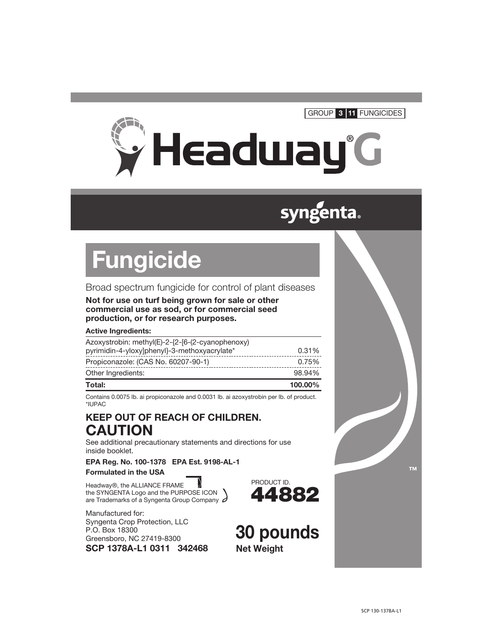### GROUP 3 11 FUNGICIDES



## syngenta.

# **Fungicide**

## Broad spectrum fungicide for control of plant diseases

Not for use on turf being grown for sale or other commercial use as sod, or for commercial seed production, or for research purposes.

#### Active Ingredients:

| Total:                                                                                           | 100.00% |
|--------------------------------------------------------------------------------------------------|---------|
| Other Ingredients:                                                                               | 98.94%  |
| Propiconazole: (CAS No. 60207-90-1)                                                              | 0.75%   |
| Azoxystrobin: methyl(E)-2-{2-[6-(2-cyanophenoxy)<br>pyrimidin-4-yloxy]phenyl}-3-methoxyacrylate* | 0.31%   |
|                                                                                                  |         |

Contains 0.0075 lb. ai propiconazole and 0.0031 lb. ai azoxystrobin per lb. of product. \*IUPAC

## KEEP OUT OF REACH OF CHILDREN. CAUTION

See additional precautionary statements and directions for use inside booklet.

EPA Reg. No. 100-1378 EPA Est. 9198-AL-1 Formulated in the USA

Headway®, the ALLIANCE FRAME the SYNGENTA Logo and the PURPOSE ICON are Trademarks of a Syngenta Group Company



Manufactured for: Syngenta Crop Protection, LLC P.O. Box 18300 Greensboro, NC 27419-8300 SCP 1378A-L1 0311 342468



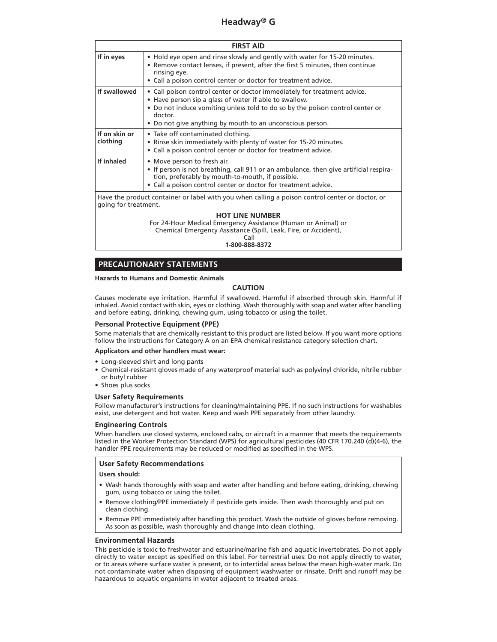| <b>FIRST AID</b>                                                                                                        |                                                                                                                                                                                                                                                                                             |  |  |  |  |  |
|-------------------------------------------------------------------------------------------------------------------------|---------------------------------------------------------------------------------------------------------------------------------------------------------------------------------------------------------------------------------------------------------------------------------------------|--|--|--|--|--|
| If in eyes                                                                                                              | • Hold eye open and rinse slowly and gently with water for 15-20 minutes.<br>• Remove contact lenses, if present, after the first 5 minutes, then continue<br>rinsing eye.<br>• Call a poison control center or doctor for treatment advice.                                                |  |  |  |  |  |
| If swallowed                                                                                                            | • Call poison control center or doctor immediately for treatment advice.<br>• Have person sip a glass of water if able to swallow.<br>• Do not induce vomiting unless told to do so by the poison control center or<br>doctor.<br>• Do not give anything by mouth to an unconscious person. |  |  |  |  |  |
| If on skin or<br>clothing                                                                                               | • Take off contaminated clothing.<br>• Rinse skin immediately with plenty of water for 15-20 minutes.<br>• Call a poison control center or doctor for treatment advice.                                                                                                                     |  |  |  |  |  |
| If inhaled                                                                                                              | • Move person to fresh air.<br>• If person is not breathing, call 911 or an ambulance, then give artificial respira-<br>tion, preferably by mouth-to-mouth, if possible.<br>• Call a poison control center or doctor for treatment advice.                                                  |  |  |  |  |  |
| Have the product container or label with you when calling a poison control center or doctor, or<br>going for treatment. |                                                                                                                                                                                                                                                                                             |  |  |  |  |  |
|                                                                                                                         | <b>HOT LINE NUMBER</b><br>For 24-Hour Medical Emergency Assistance (Human or Animal) or<br>Chemical Emergency Assistance (Spill, Leak, Fire, or Accident),<br>Call<br>1-800-888-8372                                                                                                        |  |  |  |  |  |

#### **PRECAUTIONARY STATEMENTS**

#### **Hazards to Humans and Domestic Animals**

#### **CAUTION**

Causes moderate eye irritation. Harmful if swallowed. Harmful if absorbed through skin. Harmful if inhaled. Avoid contact with skin, eyes or clothing. Wash thoroughly with soap and water after handling and before eating, drinking, chewing gum, using tobacco or using the toilet.

#### **Personal Protective Equipment (PPE)**

Some materials that are chemically resistant to this product are listed below. If you want more options follow the instructions for Category A on an EPA chemical resistance category selection chart.

#### **Applicators and other handlers must wear:**

- Long-sleeved shirt and long pants
- • Chemical-resistant gloves made of any waterproof material such as polyvinyl chloride, nitrile rubber or butyl rubber
- Shoes plus socks

#### **User Safety Requirements**

Follow manufacturer's instructions for cleaning/maintaining PPE. If no such instructions for washables exist, use detergent and hot water. Keep and wash PPE separately from other laundry.

#### **Engineering Controls**

When handlers use closed systems, enclosed cabs, or aircraft in a manner that meets the requirements listed in the Worker Protection Standard (WPS) for agricultural pesticides (40 CFR 170.240 (d)(4-6), the handler PPE requirements may be reduced or modified as specified in the WPS.

#### **User Safety Recommendations**

#### **Users should:**

- • Wash hands thoroughly with soap and water after handling and before eating, drinking, chewing gum, using tobacco or using the toilet.
- Remove clothing/PPE immediately if pesticide gets inside. Then wash thoroughly and put on clean clothing.
- • Remove PPE immediately after handling this product. Wash the outside of gloves before removing. As soon as possible, wash thoroughly and change into clean clothing.

#### **Environmental Hazards**

This pesticide is toxic to freshwater and estuarine/marine fish and aquatic invertebrates. Do not apply directly to water except as specified on this label. For terrestrial uses: Do not apply directly to water, or to areas where surface water is present, or to intertidal areas below the mean high-water mark. Do not contaminate water when disposing of equipment washwater or rinsate. Drift and runoff may be hazardous to aquatic organisms in water adjacent to treated areas.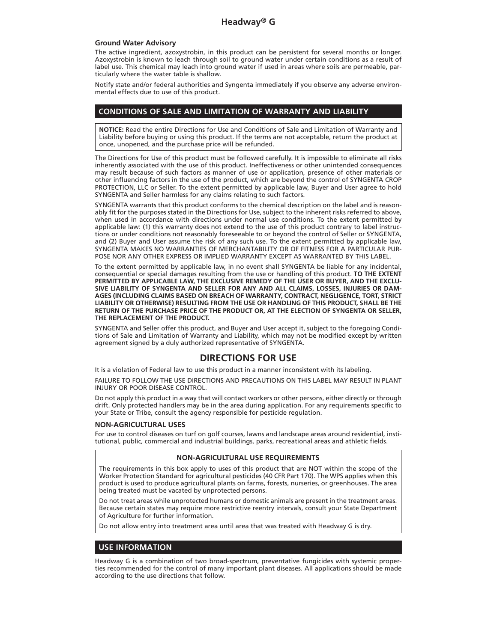#### **Ground Water Advisory**

The active ingredient, azoxystrobin, in this product can be persistent for several months or longer. Azoxystrobin is known to leach through soil to ground water under certain conditions as a result of label use. This chemical may leach into ground water if used in areas where soils are permeable, particularly where the water table is shallow.

Notify state and/or federal authorities and Syngenta immediately if you observe any adverse environmental effects due to use of this product.

#### **CONDITIONS OF SALE AND LIMITATION OF WARRANTY AND LIABILITY**

**NOTICE:** Read the entire Directions for Use and Conditions of Sale and Limitation of Warranty and Liability before buying or using this product. If the terms are not acceptable, return the product at once, unopened, and the purchase price will be refunded.

The Directions for Use of this product must be followed carefully. It is impossible to eliminate all risks inherently associated with the use of this product. Ineffectiveness or other unintended consequences may result because of such factors as manner of use or application, presence of other materials or other influencing factors in the use of the product, which are beyond the control of SYNGENTA CROP PROTECTION, LLC or Seller. To the extent permitted by applicable law, Buyer and User agree to hold SYNGENTA and Seller harmless for any claims relating to such factors.

SYNGENTA warrants that this product conforms to the chemical description on the label and is reasonably fit for the purposes stated in the Directions for Use, subject to the inherent risks referred to above, when used in accordance with directions under normal use conditions. To the extent permitted by applicable law: (1) this warranty does not extend to the use of this product contrary to label instructions or under conditions not reasonably foreseeable to or beyond the control of Seller or SYNGENTA, and (2) Buyer and User assume the risk of any such use. To the extent permitted by applicable law, SYNGENTA MAKES NO WARRANTIES OF MERCHANTABILITY OR OF FITNESS FOR A PARTICULAR PUR-POSE NOR ANY OTHER EXPRESS OR IMPLIED WARRANTY EXCEPT AS WARRANTED BY THIS LABEL.

To the extent permitted by applicable law, in no event shall SYNGENTA be liable for any incidental, consequential or special damages resulting from the use or handling of this product. **TO THE EXTENT PERMITTED BY APPLICABLE LAW, THE EXCLUSIVE REMEDY OF THE USER OR BUYER, AND THE EXCLU-SIVE LIABILITY OF SYNGENTA AND SELLER FOR ANY AND ALL CLAIMS, LOSSES, INJURIES OR DAM-AGES (INCLUDING CLAIMS BASED ON BREACH OF WARRANTY, CONTRACT, NEGLIGENCE, TORT, STRICT LIABILITY OR OTHERWISE) RESULTING FROM THE USE OR HANDLING OF THIS PRODUCT, SHALL BE THE RETURN OF THE PURCHASE PRICE OF THE PRODUCT OR, AT THE ELECTION OF SYNGENTA OR SELLER, THE REPLACEMENT OF THE PRODUCT.**

SYNGENTA and Seller offer this product, and Buyer and User accept it, subject to the foregoing Conditions of Sale and Limitation of Warranty and Liability, which may not be modified except by written agreement signed by a duly authorized representative of SYNGENTA.

#### **DIRECTIONS FOR USE**

It is a violation of Federal law to use this product in a manner inconsistent with its labeling.

FAILURE TO FOLLOW THE USE DIRECTIONS AND PRECAUTIONS ON THIS LABEL MAY RESULT IN PLANT INJURY OR POOR DISEASE CONTROL.

Do not apply this product in a way that will contact workers or other persons, either directly or through drift. Only protected handlers may be in the area during application. For any requirements specific to your State or Tribe, consult the agency responsible for pesticide regulation.

#### **NON-AGRICULTURAL USES**

For use to control diseases on turf on golf courses, lawns and landscape areas around residential, institutional, public, commercial and industrial buildings, parks, recreational areas and athletic fields.

#### **NON-AGRICULTURAL USE REQUIREMENTS**

The requirements in this box apply to uses of this product that are NOT within the scope of the Worker Protection Standard for agricultural pesticides (40 CFR Part 170). The WPS applies when this product is used to produce agricultural plants on farms, forests, nurseries, or greenhouses. The area being treated must be vacated by unprotected persons.

Do not treat areas while unprotected humans or domestic animals are present in the treatment areas. Because certain states may require more restrictive reentry intervals, consult your State Department of Agriculture for further information.

Do not allow entry into treatment area until area that was treated with Headway G is dry.

#### **USE INFORMATION**

Headway G is a combination of two broad-spectrum, preventative fungicides with systemic properties recommended for the control of many important plant diseases. All applications should be made according to the use directions that follow.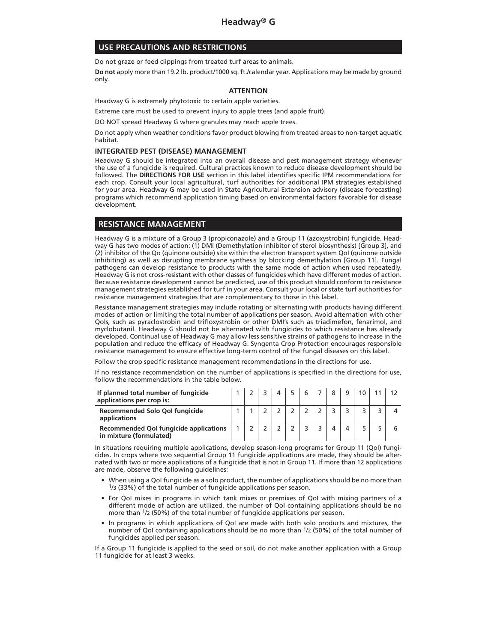#### **USE PRECAUTIONS AND RESTRICTIONS**

Do not graze or feed clippings from treated turf areas to animals.

**Do not** apply more than 19.2 lb. product/1000 sq. ft./calendar year. Applications may be made by ground only.

#### **ATTENTION**

Headway G is extremely phytotoxic to certain apple varieties.

Extreme care must be used to prevent injury to apple trees (and apple fruit).

DO NOT spread Headway G where granules may reach apple trees.

Do not apply when weather conditions favor product blowing from treated areas to non-target aquatic habitat.

#### **INTEGRATED PEST (DISEASE) MANAGEMENT**

Headway G should be integrated into an overall disease and pest management strategy whenever the use of a fungicide is required. Cultural practices known to reduce disease development should be followed. The **DIRECTIONS FOR USE** section in this label identifies specific IPM recommendations for each crop. Consult your local agricultural, turf authorities for additional IPM strategies established for your area. Headway G may be used in State Agricultural Extension advisory (disease forecasting) programs which recommend application timing based on environmental factors favorable for disease development.

#### **RESISTANCE MANAGEMENT**

Headway G is a mixture of a Group 3 (propiconazole) and a Group 11 (azoxystrobin) fungicide. Headway G has two modes of action: (1) DMI (Demethylation Inhibitor of sterol biosynthesis) [Group 3], and (2) inhibitor of the Qo (quinone outside) site within the electron transport system QoI (quinone outside inhibiting) as well as disrupting membrane synthesis by blocking demethylation [Group 11]. Fungal pathogens can develop resistance to products with the same mode of action when used repeatedly. Headway G is not cross-resistant with other classes of fungicides which have different modes of action. Because resistance development cannot be predicted, use of this product should conform to resistance management strategies established for turf in your area. Consult your local or state turf authorities for resistance management strategies that are complementary to those in this label.

Resistance management strategies may include rotating or alternating with products having different modes of action or limiting the total number of applications per season. Avoid alternation with other QoIs, such as pyraclostrobin and trifloxystrobin or other DMI's such as triadimefon, fenarimol, and myclobutanil. Headway G should not be alternated with fungicides to which resistance has already developed. Continual use of Headway G may allow less sensitive strains of pathogens to increase in the population and reduce the efficacy of Headway G. Syngenta Crop Protection encourages responsible resistance management to ensure effective long-term control of the fungal diseases on this label.

Follow the crop specific resistance management recommendations in the directions for use.

If no resistance recommendation on the number of applications is specified in the directions for use, follow the recommendations in the table below.

| If planned total number of fungicide<br>applications per crop is:        |  |  |  |  | a |  |  |
|--------------------------------------------------------------------------|--|--|--|--|---|--|--|
| Recommended Solo Qol fungicide<br>applications                           |  |  |  |  |   |  |  |
| <b>Recommended QoI fungicide applications</b><br>in mixture (formulated) |  |  |  |  |   |  |  |

In situations requiring multiple applications, develop season-long programs for Group 11 (QoI) fungicides. In crops where two sequential Group 11 fungicide applications are made, they should be alternated with two or more applications of a fungicide that is not in Group 11. If more than 12 applications are made, observe the following guidelines:

- • When using a QoI fungicide as a solo product, the number of applications should be no more than 1/3 (33%) of the total number of fungicide applications per season.
- • For QoI mixes in programs in which tank mixes or premixes of QoI with mixing partners of a different mode of action are utilized, the number of QoI containing applications should be no more than 1/2 (50%) of the total number of fungicide applications per season.
- • In programs in which applications of QoI are made with both solo products and mixtures, the number of QoI containing applications should be no more than <sup>1</sup>/2 (50%) of the total number of fungicides applied per season.

If a Group 11 fungicide is applied to the seed or soil, do not make another application with a Group 11 fungicide for at least 3 weeks.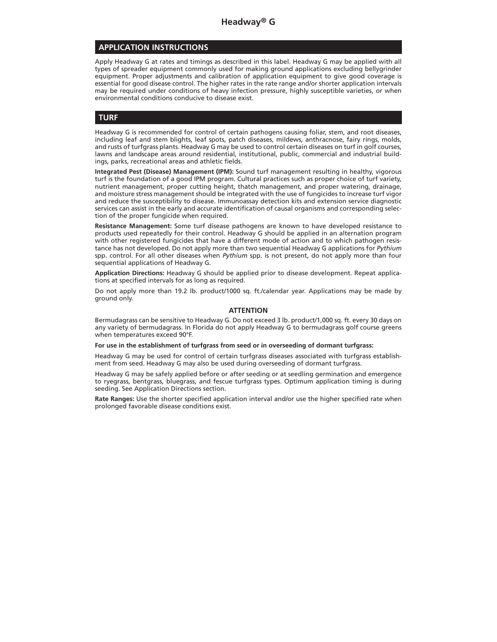#### **APPLICATION INSTRUCTIONS**

Apply Headway G at rates and timings as described in this label. Headway G may be applied with all types of spreader equipment commonly used for making ground applications excluding bellygrinder equipment. Proper adjustments and calibration of application equipment to give good coverage is essential for good disease control. The higher rates in the rate range and/or shorter application intervals may be required under conditions of heavy infection pressure, highly susceptible varieties, or when environmental conditions conducive to disease exist.

#### **TURF**

Headway G is recommended for control of certain pathogens causing foliar, stem, and root diseases, including leaf and stem blights, leaf spots, patch diseases, mildews, anthracnose, fairy rings, molds, and rusts of turfgrass plants. Headway G may be used to control certain diseases on turf in golf courses, lawns and landscape areas around residential, institutional, public, commercial and industrial buildings, parks, recreational areas and athletic fields.

**Integrated Pest (Disease) Management (IPM):** Sound turf management resulting in healthy, vigorous turf is the foundation of a good IPM program. Cultural practices such as proper choice of turf variety, nutrient management, proper cutting height, thatch management, and proper watering, drainage, and moisture stress management should be integrated with the use of fungicides to increase turf vigor and reduce the susceptibility to disease. Immunoassay detection kits and extension service diagnostic services can assist in the early and accurate identification of causal organisms and corresponding selection of the proper fungicide when required.

**Resistance Management:** Some turf disease pathogens are known to have developed resistance to products used repeatedly for their control. Headway G should be applied in an alternation program with other registered fungicides that have a different mode of action and to which pathogen resistance has not developed. Do not apply more than two sequential Headway G applications for *Pythium*  spp. control. For all other diseases when *Pythium* spp. is not present, do not apply more than four sequential applications of Headway G.

**Application Directions:** Headway G should be applied prior to disease development. Repeat applications at specified intervals for as long as required.

Do not apply more than 19.2 lb. product/1000 sq. ft./calendar year. Applications may be made by ground only.

#### **ATTENTION**

Bermudagrass can be sensitive to Headway G. Do not exceed 3 lb. product/1,000 sq. ft. every 30 days on any variety of bermudagrass. In Florida do not apply Headway G to bermudagrass golf course greens when temperatures exceed 90°F.

**For use in the establishment of turfgrass from seed or in overseeding of dormant turfgrass:**

Headway G may be used for control of certain turfgrass diseases associated with turfgrass establishment from seed. Headway G may also be used during overseeding of dormant turfgrass.

Headway G may be safely applied before or after seeding or at seedling germination and emergence to ryegrass, bentgrass, bluegrass, and fescue turfgrass types. Optimum application timing is during seeding. See Application Directions section.

**Rate Ranges:** Use the shorter specified application interval and/or use the higher specified rate when prolonged favorable disease conditions exist.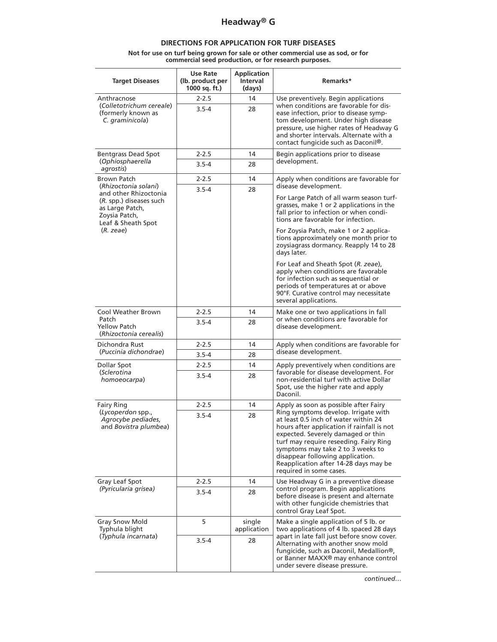#### **DIRECTIONS FOR APPLICATION FOR TURF DISEASES**

**Not for use on turf being grown for sale or other commercial use as sod, or for commercial seed production, or for research purposes.**

| <b>Target Diseases</b>                                                                                                             | <b>Use Rate</b><br>(lb. product per<br>1000 sq. ft.) | <b>Application</b><br>Interval<br>(days) | Remarks*                                                                                                                                                                                                                                                                                                                                                |  |  |  |  |
|------------------------------------------------------------------------------------------------------------------------------------|------------------------------------------------------|------------------------------------------|---------------------------------------------------------------------------------------------------------------------------------------------------------------------------------------------------------------------------------------------------------------------------------------------------------------------------------------------------------|--|--|--|--|
| Anthracnose                                                                                                                        | $2 - 2.5$                                            | 14                                       | Use preventively. Begin applications                                                                                                                                                                                                                                                                                                                    |  |  |  |  |
| (Colletotrichum cereale)<br>(formerly known as<br>C. graminicola)                                                                  | $3.5 - 4$                                            | 28                                       | when conditions are favorable for dis-<br>ease infection, prior to disease symp-<br>tom development. Under high disease<br>pressure, use higher rates of Headway G<br>and shorter intervals. Alternate with a<br>contact fungicide such as Daconil®.                                                                                                    |  |  |  |  |
| <b>Bentgrass Dead Spot</b>                                                                                                         | $2 - 2.5$                                            | 14                                       | Begin applications prior to disease                                                                                                                                                                                                                                                                                                                     |  |  |  |  |
| (Ophiosphaerella<br>agrostis)                                                                                                      | $3.5 - 4$                                            | 28                                       | development.                                                                                                                                                                                                                                                                                                                                            |  |  |  |  |
| <b>Brown Patch</b>                                                                                                                 | $2 - 2.5$                                            | 14                                       | Apply when conditions are favorable for                                                                                                                                                                                                                                                                                                                 |  |  |  |  |
| (Rhizoctonia solani)<br>and other Rhizoctonia<br>(R. spp.) diseases such<br>as Large Patch,<br>Zoysia Patch,<br>Leaf & Sheath Spot | $3.5 - 4$                                            |                                          | disease development.<br>For Large Patch of all warm season turf-<br>grasses, make 1 or 2 applications in the<br>fall prior to infection or when condi-<br>tions are favorable for infection.                                                                                                                                                            |  |  |  |  |
| (R. z eae)                                                                                                                         |                                                      |                                          | For Zoysia Patch, make 1 or 2 applica-<br>tions approximately one month prior to<br>zoysiagrass dormancy. Reapply 14 to 28<br>days later.                                                                                                                                                                                                               |  |  |  |  |
|                                                                                                                                    |                                                      |                                          | For Leaf and Sheath Spot (R. zeae),<br>apply when conditions are favorable<br>for infection such as sequential or<br>periods of temperatures at or above<br>90°F. Curative control may necessitate<br>several applications.                                                                                                                             |  |  |  |  |
| <b>Cool Weather Brown</b>                                                                                                          | $2 - 2.5$                                            | 14                                       | Make one or two applications in fall                                                                                                                                                                                                                                                                                                                    |  |  |  |  |
| Patch<br><b>Yellow Patch</b><br>(Rhizoctonia cerealis)                                                                             | $3.5 - 4$                                            | 28                                       | or when conditions are favorable for<br>disease development.                                                                                                                                                                                                                                                                                            |  |  |  |  |
| Dichondra Rust                                                                                                                     | $2 - 2.5$                                            | 14                                       | Apply when conditions are favorable for                                                                                                                                                                                                                                                                                                                 |  |  |  |  |
| (Puccinia dichondrae)                                                                                                              | $3.5 - 4$                                            | 28                                       | disease development.                                                                                                                                                                                                                                                                                                                                    |  |  |  |  |
| Dollar Spot                                                                                                                        | $2 - 2.5$                                            | 14                                       | Apply preventively when conditions are                                                                                                                                                                                                                                                                                                                  |  |  |  |  |
| (Sclerotina<br>homoeocarpa)                                                                                                        | $3.5 - 4$                                            | 28                                       | favorable for disease development. For<br>non-residential turf with active Dollar<br>Spot, use the higher rate and apply<br>Daconil.                                                                                                                                                                                                                    |  |  |  |  |
| <b>Fairy Ring</b>                                                                                                                  | $2 - 2.5$                                            | 14                                       | Apply as soon as possible after Fairy                                                                                                                                                                                                                                                                                                                   |  |  |  |  |
| (Lycoperdon spp.,<br>Agrocybe pediades,<br>and Bovistra plumbea)                                                                   | $3.5 - 4$                                            | 28                                       | Ring symptoms develop. Irrigate with<br>at least 0.5 inch of water within 24<br>hours after application if rainfall is not<br>expected. Severely damaged or thin<br>turf may require reseeding. Fairy Ring<br>symptoms may take 2 to 3 weeks to<br>disappear following application.<br>Reapplication after 14-28 days may be<br>required in some cases. |  |  |  |  |
| Gray Leaf Spot                                                                                                                     | $2 - 2.5$                                            | 14                                       | Use Headway G in a preventive disease                                                                                                                                                                                                                                                                                                                   |  |  |  |  |
| (Pyricularia grisea)                                                                                                               | $3.5 - 4$                                            | 28                                       | control program. Begin applications<br>before disease is present and alternate<br>with other fungicide chemistries that<br>control Gray Leaf Spot.                                                                                                                                                                                                      |  |  |  |  |
| Gray Snow Mold<br>Typhula blight                                                                                                   | 5                                                    | single<br>application                    | Make a single application of 5 lb. or<br>two applications of 4 lb. spaced 28 days                                                                                                                                                                                                                                                                       |  |  |  |  |
| (Typhula incarnata)                                                                                                                | $3.5 - 4$                                            | 28                                       | apart in late fall just before snow cover.<br>Alternating with another snow mold<br>fungicide, such as Daconil, Medallion®,<br>or Banner MAXX <sup>®</sup> may enhance control<br>under severe disease pressure.                                                                                                                                        |  |  |  |  |

*continued…*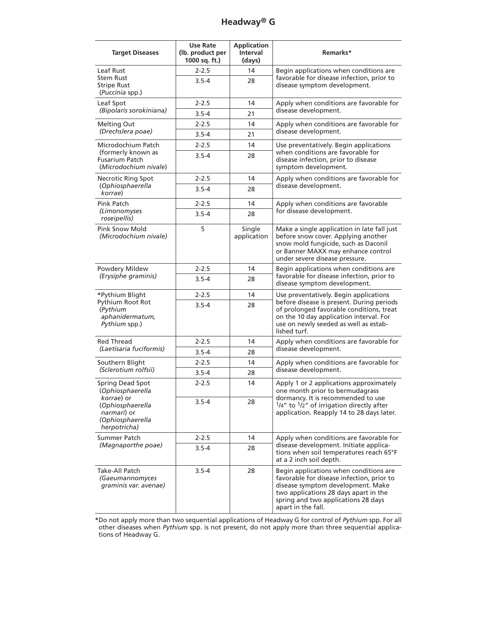| <b>Target Diseases</b>                                                                    | <b>Use Rate</b><br>(lb. product per<br>1000 sq. ft.) | <b>Application</b><br><b>Interval</b><br>(days) | Remarks*                                                                                                                                                                                                                       |
|-------------------------------------------------------------------------------------------|------------------------------------------------------|-------------------------------------------------|--------------------------------------------------------------------------------------------------------------------------------------------------------------------------------------------------------------------------------|
| Leaf Rust                                                                                 | $2 - 2.5$                                            | 14                                              | Begin applications when conditions are                                                                                                                                                                                         |
| <b>Stem Rust</b><br><b>Stripe Rust</b><br>(Puccinia spp.)                                 | $3.5 - 4$                                            | 28                                              | favorable for disease infection, prior to<br>disease symptom development.                                                                                                                                                      |
| Leaf Spot<br>(Bipolaris sorokiniana)                                                      | $2 - 2.5$                                            | 14                                              | Apply when conditions are favorable for<br>disease development.                                                                                                                                                                |
|                                                                                           | $3.5 - 4$                                            | 21                                              |                                                                                                                                                                                                                                |
| <b>Melting Out</b><br>(Drechslera poae)                                                   | $2 - 2.5$<br>$3.5 - 4$                               | 14<br>21                                        | Apply when conditions are favorable for<br>disease development.                                                                                                                                                                |
| Microdochium Patch                                                                        | $2 - 2.5$                                            | 14                                              | Use preventatively. Begin applications                                                                                                                                                                                         |
| (formerly known as<br><b>Fusarium Patch</b><br>(Microdochium nivale)                      | $3.5 - 4$                                            | 28                                              | when conditions are favorable for<br>disease infection, prior to disease<br>symptom development.                                                                                                                               |
| <b>Necrotic Ring Spot</b>                                                                 | $2 - 2.5$                                            | 14                                              | Apply when conditions are favorable for                                                                                                                                                                                        |
| (Ophiosphaerella<br>korrae)                                                               | $3.5 - 4$                                            | 28                                              | disease development.                                                                                                                                                                                                           |
| Pink Patch                                                                                | $2 - 2.5$                                            | 14                                              | Apply when conditions are favorable                                                                                                                                                                                            |
| (Limonomyses<br>roseipellis)                                                              | $3.5 - 4$                                            | 28                                              | for disease development.                                                                                                                                                                                                       |
| <b>Pink Snow Mold</b><br>(Microdochium nivale)                                            | 5                                                    | Single<br>application                           | Make a single application in late fall just<br>before snow cover. Applying another<br>snow mold fungicide, such as Daconil<br>or Banner MAXX may enhance control<br>under severe disease pressure.                             |
| Powdery Mildew                                                                            | $2 - 2.5$                                            | 14                                              | Begin applications when conditions are                                                                                                                                                                                         |
| (Erysiphe graminis)                                                                       | $3.5 - 4$                                            | 28                                              | favorable for disease infection, prior to<br>disease symptom development.                                                                                                                                                      |
| *Pythium Blight                                                                           | $2 - 2.5$                                            | 14                                              | Use preventatively. Begin applications                                                                                                                                                                                         |
| Pythium Root Rot<br>(Pythium<br>aphanidermatum,<br>Pythium spp.)                          | $3.5 - 4$                                            | 28                                              | before disease is present. During periods<br>of prolonged favorable conditions, treat<br>on the 10 day application interval. For<br>use on newly seeded as well as estab-<br>lished turf.                                      |
| <b>Red Thread</b>                                                                         | $2 - 2.5$                                            | 14                                              | Apply when conditions are favorable for                                                                                                                                                                                        |
| (Laetisaria fuciformis)                                                                   | $3.5 - 4$                                            | 28                                              | disease development.                                                                                                                                                                                                           |
| Southern Blight                                                                           | $2 - 2.5$                                            | 14                                              | Apply when conditions are favorable for                                                                                                                                                                                        |
| (Sclerotium rolfsii)                                                                      | $3.5 - 4$                                            | 28                                              | disease development.                                                                                                                                                                                                           |
| Spring Dead Spot<br>(Ophiosphaerella                                                      | $2 - 2.5$                                            | 14                                              | Apply 1 or 2 applications approximately<br>one month prior to bermudagrass                                                                                                                                                     |
| korrae) or<br>(Ophiosphaerella<br><i>narmari</i> ) or<br>(Ophiosphaerella<br>herpotricha) | $3.5 - 4$                                            | 28                                              | dormancy. It is recommended to use<br>$1/4$ " to $1/2$ " of irrigation directly after<br>application. Reapply 14 to 28 days later.                                                                                             |
| Summer Patch                                                                              | $2 - 2.5$                                            | 14                                              | Apply when conditions are favorable for                                                                                                                                                                                        |
| (Magnaporthe poae)                                                                        | $3.5 - 4$                                            | 28                                              | disease development. Initiate applica-<br>tions when soil temperatures reach 65°F<br>at a 2 inch soil depth.                                                                                                                   |
| Take-All Patch<br>(Gaeumannomyces<br>graminis var. avenae)                                | $3.5 - 4$                                            | 28                                              | Begin applications when conditions are<br>favorable for disease infection, prior to<br>disease symptom development. Make<br>two applications 28 days apart in the<br>spring and two applications 28 days<br>apart in the fall. |

**\***Do not apply more than two sequential applications of Headway G for control of *Pythium* spp. For all other diseases when *Pythium* spp. is not present, do not apply more than three sequential applications of Headway G.